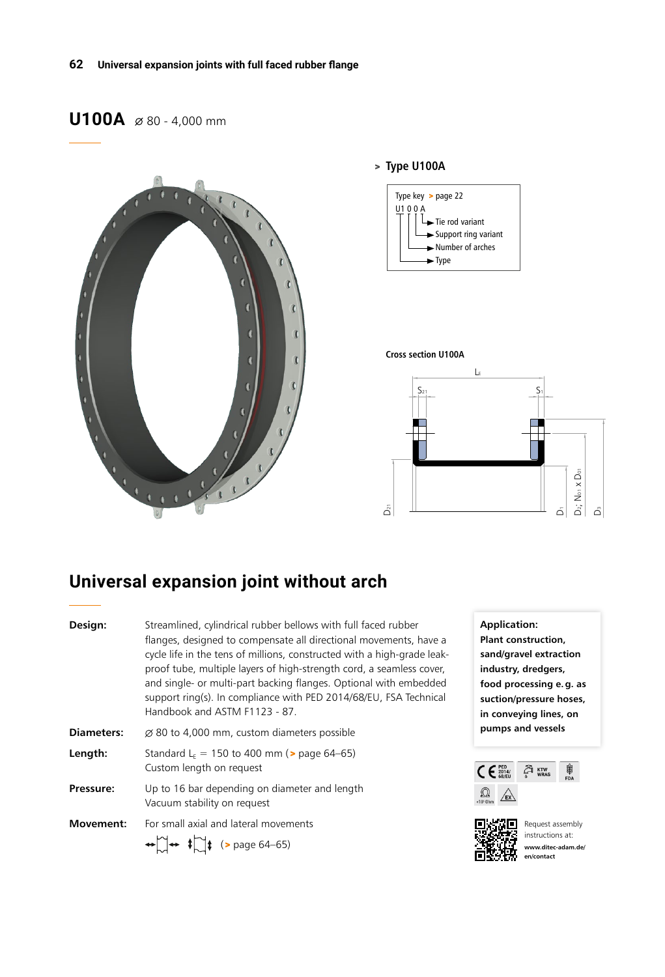# **U100A**  $\emptyset$  80 - 4,000 mm



#### > **Type U100A**



#### **Cross section U100A**

![](_page_0_Figure_6.jpeg)

# **Universal expansion joint without arch**

| Design:           | Streamlined, cylindrical rubber bellows with full faced rubber<br>flanges, designed to compensate all directional movements, have a<br>cycle life in the tens of millions, constructed with a high-grade leak-<br>proof tube, multiple layers of high-strength cord, a seamless cover,<br>and single- or multi-part backing flanges. Optional with embedded<br>support ring(s). In compliance with PED 2014/68/EU, FSA Technical<br>Handbook and ASTM F1123 - 87. |
|-------------------|-------------------------------------------------------------------------------------------------------------------------------------------------------------------------------------------------------------------------------------------------------------------------------------------------------------------------------------------------------------------------------------------------------------------------------------------------------------------|
| <b>Diameters:</b> | $\varnothing$ 80 to 4,000 mm, custom diameters possible                                                                                                                                                                                                                                                                                                                                                                                                           |
| Length:           | Standard L <sub>F</sub> = 150 to 400 mm ( $>$ page 64–65)<br>Custom length on request                                                                                                                                                                                                                                                                                                                                                                             |
| Pressure:         | Up to 16 bar depending on diameter and length<br>Vacuum stability on request                                                                                                                                                                                                                                                                                                                                                                                      |
| <b>Movement:</b>  | For small axial and lateral movements<br>$\bigoplus_{n=1}^{\infty}$ + $\bigoplus_{n=1}^{\infty}$ (> page 64–65)                                                                                                                                                                                                                                                                                                                                                   |

**Application: Plant construction, sand/gravel extraction industry, dredgers, food processing e.g. as suction/pressure hoses, in conveying lines, on pumps and vessels**

![](_page_0_Figure_10.jpeg)

![](_page_0_Figure_11.jpeg)

Request assembly instructions at: **www.ditec-adam.de/ en/contact**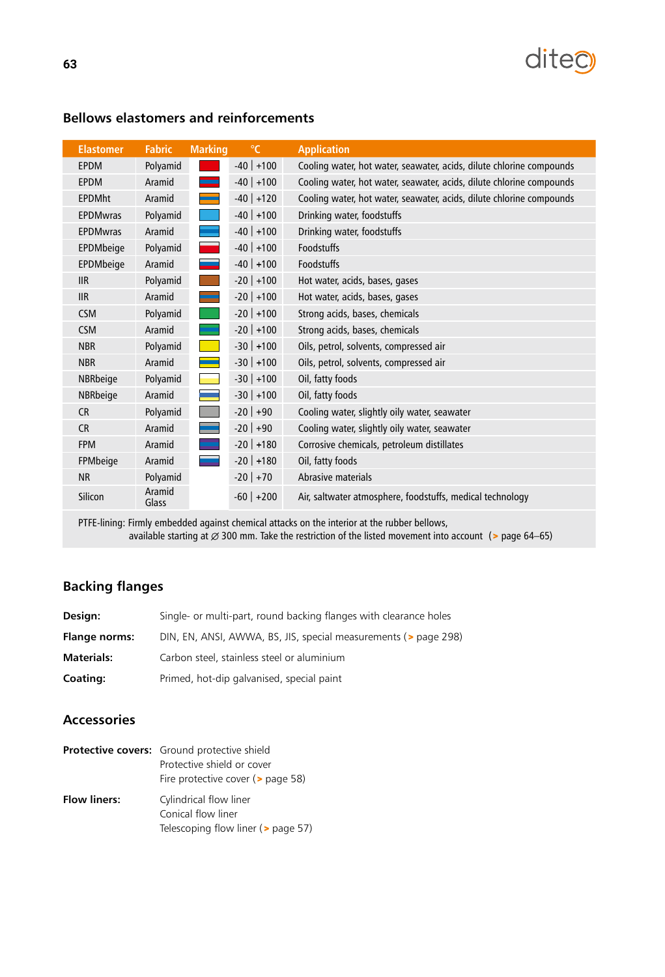![](_page_1_Picture_0.jpeg)

| <b>Elastomer</b> | <b>Fabric</b>   | <b>Marking</b> | $\mathrm{C}$ | <b>Application</b>                                                   |
|------------------|-----------------|----------------|--------------|----------------------------------------------------------------------|
| <b>EPDM</b>      | Polyamid        |                | $-40$ +100   | Cooling water, hot water, seawater, acids, dilute chlorine compounds |
| <b>EPDM</b>      | Aramid          |                | $-40$ +100   | Cooling water, hot water, seawater, acids, dilute chlorine compounds |
| <b>EPDMht</b>    | Aramid          |                | $-40$ +120   | Cooling water, hot water, seawater, acids, dilute chlorine compounds |
| <b>EPDMwras</b>  | Polyamid        |                | $-40$ +100   | Drinking water, foodstuffs                                           |
| <b>EPDMwras</b>  | Aramid          |                | $-40$ +100   | Drinking water, foodstuffs                                           |
| EPDMbeige        | Polyamid        |                | $-40$ +100   | <b>Foodstuffs</b>                                                    |
| EPDMbeige        | Aramid          |                | $-40$ +100   | Foodstuffs                                                           |
| <b>IIR</b>       | Polyamid        |                | $-20$ +100   | Hot water, acids, bases, gases                                       |
| <b>IIR</b>       | Aramid          |                | $-20$ +100   | Hot water, acids, bases, gases                                       |
| <b>CSM</b>       | Polyamid        |                | $-20$ +100   | Strong acids, bases, chemicals                                       |
| <b>CSM</b>       | Aramid          |                | $-20$ +100   | Strong acids, bases, chemicals                                       |
| <b>NBR</b>       | Polyamid        |                | $-30$ +100   | Oils, petrol, solvents, compressed air                               |
| <b>NBR</b>       | Aramid          |                | $-30$ +100   | Oils, petrol, solvents, compressed air                               |
| NBRbeige         | Polyamid        |                | $-30$ +100   | Oil, fatty foods                                                     |
| NBRbeige         | Aramid          |                | $-30$ +100   | Oil, fatty foods                                                     |
| <b>CR</b>        | Polyamid        |                | $-20$ +90    | Cooling water, slightly oily water, seawater                         |
| CR               | Aramid          |                | $-20$ +90    | Cooling water, slightly oily water, seawater                         |
| <b>FPM</b>       | Aramid          |                | $-20$ +180   | Corrosive chemicals, petroleum distillates                           |
| FPMbeige         | Aramid          |                | $-20$ +180   | Oil, fatty foods                                                     |
| <b>NR</b>        | Polyamid        |                | $-20$ +70    | Abrasive materials                                                   |
| Silicon          | Aramid<br>Glass |                | $-60$ +200   | Air, saltwater atmosphere, foodstuffs, medical technology            |

## **Bellows elastomers and reinforcements**

PTFE-lining: Firmly embedded against chemical attacks on the interior at the rubber bellows, available starting at  $\varnothing$  300 mm. Take the restriction of the listed movement into account (> page 64–65)

### **Backing flanges**

| Design:              | Single- or multi-part, round backing flanges with clearance holes |
|----------------------|-------------------------------------------------------------------|
| <b>Flange norms:</b> | DIN, EN, ANSI, AWWA, BS, JIS, special measurements (> page 298)   |
| <b>Materials:</b>    | Carbon steel, stainless steel or aluminium                        |
| Coating:             | Primed, hot-dip galvanised, special paint                         |

### **Accessories**

|                     | <b>Protective covers:</b> Ground protective shield |
|---------------------|----------------------------------------------------|
|                     | Protective shield or cover                         |
|                     | Fire protective cover ( $>$ page 58)               |
| <b>Flow liners:</b> | Cylindrical flow liner                             |
|                     | Conical flow liner                                 |
|                     | Telescoping flow liner (> page 57)                 |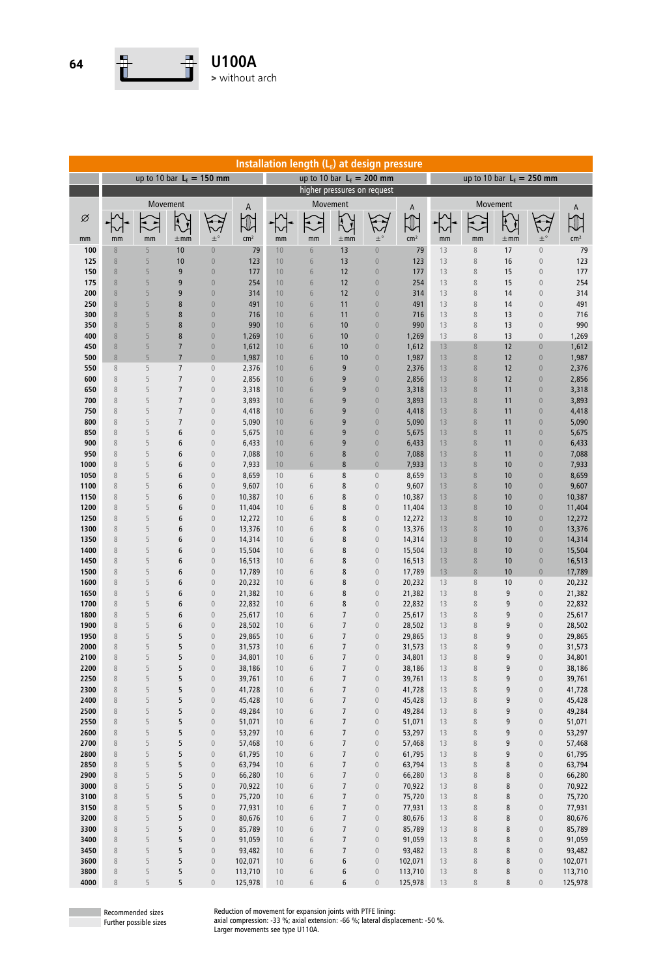![](_page_2_Picture_0.jpeg)

| Installation length $(L_{E})$ at design pressure |                            |          |                                    |                                      |                  |              |                            |                                    |                                      |                  |          |                            |              |                                      |                  |  |  |
|--------------------------------------------------|----------------------------|----------|------------------------------------|--------------------------------------|------------------|--------------|----------------------------|------------------------------------|--------------------------------------|------------------|----------|----------------------------|--------------|--------------------------------------|------------------|--|--|
|                                                  | up to 10 bar $LE = 150$ mm |          |                                    |                                      |                  |              | up to 10 bar $LE = 200$ mm |                                    |                                      |                  |          | up to 10 bar $LE = 250$ mm |              |                                      |                  |  |  |
|                                                  |                            |          |                                    |                                      |                  |              |                            |                                    | higher pressures on request          |                  |          |                            |              |                                      |                  |  |  |
|                                                  |                            | Movement |                                    |                                      | А                |              |                            | Movement                           |                                      | A                |          | Movement                   |              |                                      | A                |  |  |
| Ø                                                |                            |          | Ã                                  |                                      | $\mathbb U$      |              |                            |                                    |                                      |                  |          | $\bullet$ $\bullet$        |              |                                      |                  |  |  |
|                                                  |                            |          |                                    |                                      |                  |              |                            |                                    |                                      |                  |          |                            |              |                                      |                  |  |  |
| mm                                               | mm                         | mm       | $\pm$ mm                           | $\pm^{\circ}$                        | cm <sup>2</sup>  | mm           | mm                         | $\pm$ mm                           | $\pm^{\circ}$                        | cm <sup>2</sup>  | mm       | mm                         | $\pm$ mm     | $\pm^{\circ}$                        | cm <sup>2</sup>  |  |  |
| 100                                              | $\, 8$<br>$\,8\,$          | 5<br>5   | 10<br>10                           | $\overline{0}$<br>$\bf 0$            | 79               | 10<br>10     | $6\phantom{.}6$            | 13                                 | $\mathbf 0$                          | 79               | 13<br>13 | $\,8\,$                    | 17           | $\mathbf 0$                          | 79               |  |  |
| 125<br>150                                       | $\,8\,$                    | 5        | 9                                  | $\bf 0$                              | 123<br>177       | 10           | $6\,$<br>6                 | 13<br>12                           | $\mathbf 0$<br>$\mathbf 0$           | 123<br>177       | 13       | 8<br>8                     | 16<br>15     | $\boldsymbol{0}$<br>$\boldsymbol{0}$ | 123<br>177       |  |  |
| 175                                              | $\,8\,$                    | 5        | 9                                  | $\bf 0$                              | 254              | 10           | $\sqrt{6}$                 | 12                                 | $\mathbf 0$                          | 254              | 13       | 8                          | 15           | $\overline{0}$                       | 254              |  |  |
| 200                                              | $\,8\,$                    | 5        | 9                                  | $\bf 0$                              | 314              | 10           | 6                          | 12                                 | $\mathbf 0$                          | 314              | 13       | 8                          | 14           | $\boldsymbol{0}$                     | 314              |  |  |
| 250                                              | $\,8\,$                    | 5        | 8                                  | $\bf 0$                              | 491              | 10           | $\sqrt{6}$                 | 11                                 | $\mathbf 0$                          | 491              | 13       | 8                          | 14           | $\boldsymbol{0}$                     | 491              |  |  |
| 300                                              | $\,8\,$                    | 5        | 8                                  | $\mathbf 0$                          | 716              | 10           | $\sqrt{6}$                 | 11                                 | $\mathbf 0$                          | 716              | 13       | 8                          | 13           | $\boldsymbol{0}$                     | 716              |  |  |
| 350                                              | $\,8\,$                    | 5        | 8                                  | $\mathbf 0$                          | 990              | 10           | 6                          | 10                                 | $\mathbf 0$                          | 990              | 13       | 8                          | 13           | $\boldsymbol{0}$                     | 990              |  |  |
| 400<br>450                                       | $\,8\,$<br>$\,8\,$         | 5<br>5   | 8<br>$\overline{7}$                | $\bf 0$<br>$\boldsymbol{0}$          | 1,269<br>1,612   | 10<br>10     | 6<br>6                     | 10<br>10                           | $\mathbf 0$<br>$\mathbf 0$           | 1,269<br>1,612   | 13<br>13 | 8<br>$\,8\,$               | 13<br>12     | $\mathbf 0$<br>$\bf 0$               | 1,269<br>1,612   |  |  |
| 500                                              | $\, 8$                     | 5        | $\overline{7}$                     | $\mathbb O$                          | 1,987            | 10           | $\sqrt{6}$                 | 10                                 | $\mathbf 0$                          | 1,987            | 13       | $\,8\,$                    | 12           | $\mathbf 0$                          | 1,987            |  |  |
| 550                                              | $\, 8$                     | 5        | $\overline{7}$                     | $\boldsymbol{0}$                     | 2,376            | 10           | 6                          | 9                                  | $\mathbf 0$                          | 2,376            | 13       | 8                          | 12           | $\mathbf 0$                          | 2,376            |  |  |
| 600                                              | $\,8\,$                    | 5        | $\overline{7}$                     | $\boldsymbol{0}$                     | 2,856            | 10           | 6                          | 9                                  | $\mathbf 0$                          | 2,856            | 13       | $\,8\,$                    | 12           | $\mathbf 0$                          | 2,856            |  |  |
| 650                                              | $\, 8$                     | 5        | $\overline{7}$                     | $\boldsymbol{0}$                     | 3,318            | 10           | 6                          | 9                                  | $\boldsymbol{0}$                     | 3,318            | 13       | 8                          | 11           | $\boldsymbol{0}$                     | 3,318            |  |  |
| 700                                              | $\,8\,$                    | 5        | $\overline{7}$                     | $\boldsymbol{0}$                     | 3,893            | 10           | 6                          | 9                                  | $\boldsymbol{0}$                     | 3,893            | 13       | $\,8\,$                    | 11           | $\boldsymbol{0}$                     | 3,893            |  |  |
| 750                                              | $\,8\,$                    | 5        | $\overline{7}$                     | $\boldsymbol{0}$                     | 4,418            | 10           | $\sqrt{6}$                 | 9                                  | $\boldsymbol{0}$                     | 4,418            | 13       | $\,8\,$                    | 11           | $\boldsymbol{0}$                     | 4,418            |  |  |
| 800<br>850                                       | $\,8\,$<br>$\,8\,$         | 5<br>5   | $\overline{7}$<br>$\boldsymbol{6}$ | $\boldsymbol{0}$<br>$\boldsymbol{0}$ | 5,090<br>5,675   | 10<br>10     | 6<br>6                     | 9<br>9                             | $\boldsymbol{0}$<br>$\mathbf 0$      | 5,090<br>5,675   | 13<br>13 | 8<br>8                     | 11<br>11     | $\boldsymbol{0}$<br>$\mathbf 0$      | 5,090<br>5,675   |  |  |
| 900                                              | $\,8\,$                    | 5        | 6                                  | $\boldsymbol{0}$                     | 6,433            | 10           | 6                          | 9                                  | $\boldsymbol{0}$                     | 6,433            | 13       | 8                          | 11           | $\boldsymbol{0}$                     | 6,433            |  |  |
| 950                                              | $\,8\,$                    | 5        | 6                                  | $\boldsymbol{0}$                     | 7,088            | 10           | $\sqrt{6}$                 | 8                                  | $\bf 0$                              | 7,088            | 13       | $\,8\,$                    | 11           | $\bf 0$                              | 7,088            |  |  |
| 1000                                             | $\,8\,$                    | 5        | 6                                  | $\boldsymbol{0}$                     | 7,933            | 10           | $\sqrt{6}$                 | $\bf 8$                            | $\mathbf 0$                          | 7,933            | 13       | $\,8\,$                    | 10           | $\bf 0$                              | 7,933            |  |  |
| 1050                                             | $\,8\,$                    | 5        | 6                                  | $\boldsymbol{0}$                     | 8,659            | 10           | 6                          | 8                                  | $\boldsymbol{0}$                     | 8,659            | 13       | $\,8\,$                    | 10           | $\bf 0$                              | 8,659            |  |  |
| 1100                                             | $\,8\,$                    | 5        | 6                                  | $\boldsymbol{0}$                     | 9,607            | 10           | $\sqrt{6}$                 | 8                                  | $\mathbf 0$                          | 9,607            | 13       | $\,8\,$                    | 10           | $\bf 0$                              | 9,607            |  |  |
| 1150                                             | $\,8\,$<br>$\,8\,$         | 5<br>5   | 6<br>6                             | $\boldsymbol{0}$                     | 10,387           | 10<br>10     | 6                          | 8<br>8                             | $\boldsymbol{0}$<br>$\boldsymbol{0}$ | 10,387           | 13<br>13 | $\,8\,$<br>$\,8\,$         | 10<br>10     | $\mathbf 0$<br>$\bf 0$               | 10,387<br>11,404 |  |  |
| 1200<br>1250                                     | $\,8\,$                    | 5        | 6                                  | $\boldsymbol{0}$<br>$\mathbf 0$      | 11,404<br>12,272 | 10           | 6<br>6                     | 8                                  | $\boldsymbol{0}$                     | 11,404<br>12,272 | 13       | $\,8\,$                    | 10           | $\mathbf 0$                          | 12,272           |  |  |
| 1300                                             | $\, 8$                     | 5        | 6                                  | $\bf 0$                              | 13,376           | 10           | 6                          | 8                                  | $\boldsymbol{0}$                     | 13,376           | 13       | 8                          | 10           | $\mathbf 0$                          | 13,376           |  |  |
| 1350                                             | $\, 8$                     | 5        | 6                                  | $\bf 0$                              | 14,314           | 10           | 6                          | 8                                  | $\boldsymbol{0}$                     | 14,314           | 13       | 8                          | 10           | $\boldsymbol{0}$                     | 14,314           |  |  |
| 1400                                             | $\, 8$                     | 5        | 6                                  | $\bf 0$                              | 15,504           | 10           | 6                          | 8                                  | $\boldsymbol{0}$                     | 15,504           | 13       | 8                          | 10           | $\mathbf 0$                          | 15,504           |  |  |
| 1450                                             | $\, 8$                     | 5        | 6                                  | $\boldsymbol{0}$                     | 16,513           | 10           | 6                          | 8                                  | $\boldsymbol{0}$                     | 16,513           | 13       | $\,8\,$                    | 10           | $\mathbf 0$                          | 16,513           |  |  |
| 1500                                             | $\, 8$                     | 5        | 6                                  | $\mathbb O$                          | 17,789           | 10           | 6                          | 8                                  | $\boldsymbol{0}$                     | 17,789           | 13       | $\, 8$                     | 10           | $\mathbf 0$                          | 17,789           |  |  |
| 1600<br>1650                                     | $\, 8$<br>$\, 8$           | 5<br>5   | 6<br>6                             | $\boldsymbol{0}$<br>$\boldsymbol{0}$ | 20,232<br>21,382 | 10<br>10     | 6<br>6                     | $\bf 8$<br>8                       | $\boldsymbol{0}$<br>$\boldsymbol{0}$ | 20,232<br>21,382 | 13<br>13 | 8<br>8                     | 10<br>9      | $\boldsymbol{0}$<br>$\boldsymbol{0}$ | 20,232<br>21,382 |  |  |
| 1700                                             | $\, 8$                     | 5        | 6                                  | $\mathbb O$                          | 22,832           | 10           | 6                          | 8                                  | $\boldsymbol{0}$                     | 22,832           | 13       | 8                          | 9            | $\boldsymbol{0}$                     | 22,832           |  |  |
| 1800                                             | $\, 8$                     | 5        | 6                                  | $\mathbb O$                          | 25,617           | 10           | 6                          | $\overline{7}$                     | $\boldsymbol{0}$                     | 25,617           | 13       | 8                          | 9            | $\boldsymbol{0}$                     | 25,617           |  |  |
| 1900                                             | $\, 8$                     | 5        | 6                                  | $\mathbb O$                          | 28,502           | 10           | 6                          | $\overline{7}$                     | $\boldsymbol{0}$                     | 28,502           | 13       | 8                          | 9            | $\boldsymbol{0}$                     | 28,502           |  |  |
| 1950                                             | $\,8\,$                    | 5        | 5                                  | $\boldsymbol{0}$                     | 29,865           | 10           | 6                          | $\overline{7}$                     | $\mathbf{0}$                         | 29,865           | 13       | 8                          | 9            | $\overline{0}$                       | 29,865           |  |  |
| 2000                                             | $\,8\,$                    | 5        | 5                                  | $\boldsymbol{0}$                     | 31,573           | 10           | 6                          | $\overline{7}$                     | $\mathbf 0$                          | 31,573           | 13       | 8                          | 9            | $\boldsymbol{0}$                     | 31,573           |  |  |
| 2100<br>2200                                     | 8<br>$\,8\,$               | 5<br>5   | 5<br>5                             | $\mathbb O$<br>$\boldsymbol{0}$      | 34,801<br>38,186 | $10\,$<br>10 | 6<br>6                     | 7<br>$\overline{7}$                | $\boldsymbol{0}$<br>$\boldsymbol{0}$ | 34,801<br>38,186 | 13<br>13 | 8<br>8                     | 9<br>9       | $\boldsymbol{0}$<br>$\boldsymbol{0}$ | 34,801<br>38,186 |  |  |
| 2250                                             | $\,8\,$                    | 5        | 5                                  | $\boldsymbol{0}$                     | 39,761           | 10           | $\sqrt{6}$                 | $\overline{7}$                     | $\boldsymbol{0}$                     | 39,761           | 13       | $\,$ 8 $\,$                | 9            | $\boldsymbol{0}$                     | 39,761           |  |  |
| 2300                                             | $\, 8$                     | 5        | 5                                  | $\boldsymbol{0}$                     | 41,728           | 10           | 6                          | $\boldsymbol{7}$                   | $\boldsymbol{0}$                     | 41,728           | 13       | 8                          | 9            | $\boldsymbol{0}$                     | 41,728           |  |  |
| 2400                                             | $\, 8$                     | 5        | 5                                  | $\boldsymbol{0}$                     | 45,428           | 10           | 6                          | $\overline{7}$                     | $\boldsymbol{0}$                     | 45,428           | 13       | $\,$ 8 $\,$                | 9            | $\boldsymbol{0}$                     | 45,428           |  |  |
| 2500                                             | $\, 8$                     | 5        | 5                                  | $\boldsymbol{0}$                     | 49,284           | 10           | $\sqrt{6}$                 | $\overline{7}$                     | $\boldsymbol{0}$                     | 49,284           | 13       | 8                          | 9            | $\boldsymbol{0}$                     | 49,284           |  |  |
| 2550                                             | $\, 8$                     | 5        | 5                                  | $\boldsymbol{0}$                     | 51,071           | 10           | 6                          | $\overline{7}$                     | $\boldsymbol{0}$                     | 51,071           | 13       | 8                          | 9            | $\boldsymbol{0}$                     | 51,071           |  |  |
| 2600                                             | $\,8\,$                    | 5        | 5                                  | $\boldsymbol{0}$                     | 53,297           | 10           | $\sqrt{6}$                 | $\overline{7}$                     | $\boldsymbol{0}$                     | 53,297           | 13       | $\,$ 8 $\,$                | 9            | $\boldsymbol{0}$                     | 53,297           |  |  |
| 2700<br>2800                                     | $\, 8$<br>$\, 8$           | 5<br>5   | 5<br>5                             | $\boldsymbol{0}$<br>$\boldsymbol{0}$ | 57,468<br>61,795 | 10<br>10     | 6<br>6                     | $\boldsymbol{7}$<br>$\overline{7}$ | $\boldsymbol{0}$<br>$\boldsymbol{0}$ | 57,468<br>61,795 | 13<br>13 | $\,$ 8 $\,$<br>$\,$ 8 $\,$ | 9<br>9       | $\boldsymbol{0}$<br>$\boldsymbol{0}$ | 57,468<br>61,795 |  |  |
| 2850                                             | $\, 8$                     | 5        | 5                                  | $\boldsymbol{0}$                     | 63,794           | 10           | 6                          | $\overline{7}$                     | $\boldsymbol{0}$                     | 63,794           | 13       | $\,$ 8 $\,$                | 8            | $\boldsymbol{0}$                     | 63,794           |  |  |
| 2900                                             | $\, 8$                     | 5        | 5                                  | $\boldsymbol{0}$                     | 66,280           | 10           | $6\,$                      | $\overline{7}$                     | $\boldsymbol{0}$                     | 66,280           | 13       | 8                          | 8            | $\boldsymbol{0}$                     | 66,280           |  |  |
| 3000                                             | $\, 8$                     | 5        | 5                                  | $\boldsymbol{0}$                     | 70,922           | 10           | $\sqrt{6}$                 | $\overline{7}$                     | $\,0\,$                              | 70,922           | 13       | $\,$ 8 $\,$                | 8            | $\boldsymbol{0}$                     | 70,922           |  |  |
| 3100                                             | $\, 8$                     | 5        | 5                                  | $\boldsymbol{0}$                     | 75,720           | 10           | 6                          | $\overline{7}$                     | $\boldsymbol{0}$                     | 75,720           | 13       | 8                          | 8            | $\boldsymbol{0}$                     | 75,720           |  |  |
| 3150                                             | $\, 8$                     | 5        | 5                                  | $\boldsymbol{0}$                     | 77,931           | 10           | 6                          | $\overline{7}$                     | $\,0\,$                              | 77,931           | 13       | $\,$ 8 $\,$                | 8            | $\boldsymbol{0}$                     | 77,931           |  |  |
| 3200                                             | $\, 8$                     | 5        | 5                                  | $\boldsymbol{0}$                     | 80,676           | 10           | $6\,$                      | $\overline{7}$                     | $\boldsymbol{0}$                     | 80,676           | 13       | 8                          | 8            | $\boldsymbol{0}$                     | 80,676           |  |  |
| 3300<br>3400                                     | $\, 8$<br>$\, 8$           | 5<br>5   | 5<br>5                             | $\boldsymbol{0}$<br>$\boldsymbol{0}$ | 85,789<br>91,059 | 10<br>10     | $6\,$<br>$6\,$             | $\overline{7}$<br>$\overline{7}$   | $\boldsymbol{0}$<br>$\,0\,$          | 85,789<br>91,059 | 13<br>13 | 8<br>$\,$ 8 $\,$           | 8<br>$\bf 8$ | $\boldsymbol{0}$<br>$\boldsymbol{0}$ | 85,789<br>91,059 |  |  |
| 3450                                             | $\, 8$                     | 5        | 5                                  | $\boldsymbol{0}$                     | 93,482           | 10           | 6                          | $\overline{7}$                     | $\boldsymbol{0}$                     | 93,482           | 13       | 8                          | 8            | $\boldsymbol{0}$                     | 93,482           |  |  |
| 3600                                             | $\, 8$                     | 5        | 5                                  | $\boldsymbol{0}$                     | 102,071          | 10           | $6\,$                      | 6                                  | $\boldsymbol{0}$                     | 102,071          | 13       | 8                          | 8            | $\boldsymbol{0}$                     | 102,071          |  |  |
| 3800                                             | $\, 8$                     | 5        | 5                                  | $\boldsymbol{0}$                     | 113,710          | 10           | $6\,$                      | 6                                  | $\boldsymbol{0}$                     | 113,710          | 13       | 8                          | 8            | $\boldsymbol{0}$                     | 113,710          |  |  |
| 4000                                             | $\,8\,$                    | 5        | 5                                  | $\boldsymbol{0}$                     | 125,978          | 10           | 6                          | 6                                  | $\boldsymbol{0}$                     | 125,978          | 13       | $\,8\,$                    | 8            | $\boldsymbol{0}$                     | 125,978          |  |  |

Recommended sizes Further possible sizes Reduction of movement for expansion joints with PTFE lining:

axial compression: -33 %; axial extension: -66 %; lateral displacement: -50 %. Larger movements see type U110A.